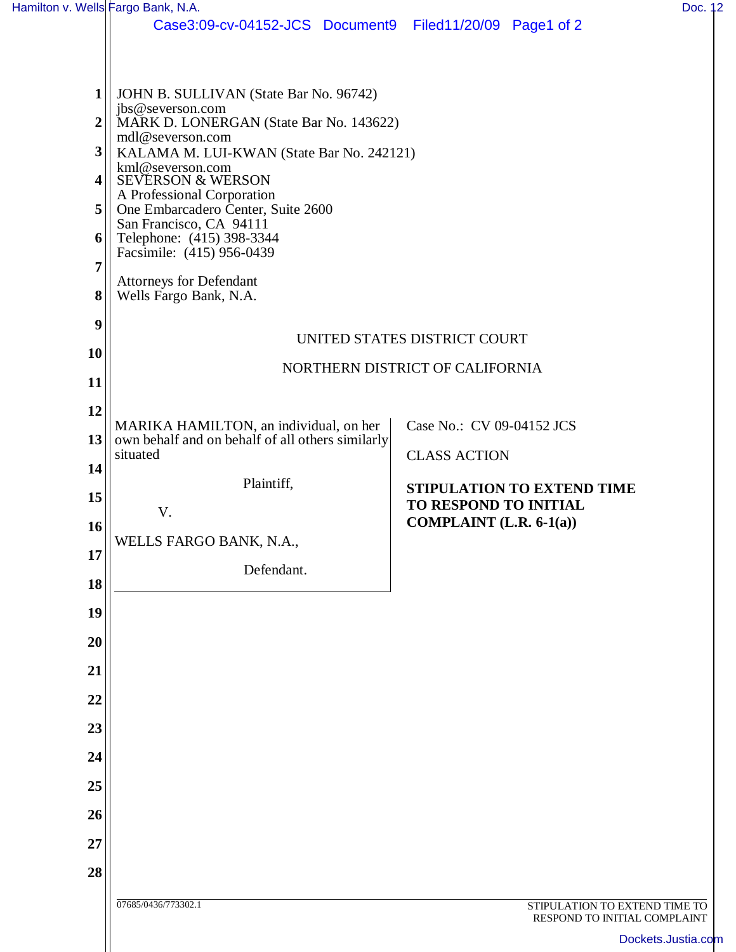|                 | Hamilton v. Wells Fargo Bank, N.A.                                                         | Doc. 12                                                       |  |
|-----------------|--------------------------------------------------------------------------------------------|---------------------------------------------------------------|--|
|                 | Case3:09-cv-04152-JCS Document9 Filed11/20/09 Page1 of 2                                   |                                                               |  |
|                 |                                                                                            |                                                               |  |
|                 |                                                                                            |                                                               |  |
| $1\vert$        | JOHN B. SULLIVAN (State Bar No. 96742)<br>jbs@severson.com                                 |                                                               |  |
| 2 <sup>1</sup>  | MARK D. LONERGAN (State Bar No. 143622)                                                    |                                                               |  |
| 3               | mdl@severson.com<br>KALAMA M. LUI-KWAN (State Bar No. 242121)                              |                                                               |  |
| $\vert$         | kml@severson.com<br><b>SEVERSON &amp; WERSON</b>                                           |                                                               |  |
|                 | A Professional Corporation                                                                 |                                                               |  |
| 5 <sup>1</sup>  | One Embarcadero Center, Suite 2600<br>San Francisco, CA 94111                              |                                                               |  |
| 6               | Telephone: (415) 398-3344<br>Facsimile: (415) 956-0439                                     |                                                               |  |
| 7 <sup>1</sup>  |                                                                                            |                                                               |  |
| 8 <sup>1</sup>  | <b>Attorneys for Defendant</b><br>Wells Fargo Bank, N.A.                                   |                                                               |  |
| 9               |                                                                                            |                                                               |  |
|                 | UNITED STATES DISTRICT COURT                                                               |                                                               |  |
| 10              | NORTHERN DISTRICT OF CALIFORNIA                                                            |                                                               |  |
| 11              |                                                                                            |                                                               |  |
| 12              |                                                                                            |                                                               |  |
| 13 <sup>1</sup> | MARIKA HAMILTON, an individual, on her<br>own behalf and on behalf of all others similarly | Case No.: CV 09-04152 JCS                                     |  |
| 14              | situated                                                                                   | <b>CLASS ACTION</b>                                           |  |
|                 | Plaintiff,                                                                                 | STIPULATION TO EXTEND TIME                                    |  |
| 15              | V.                                                                                         | TO RESPOND TO INITIAL                                         |  |
| 16              | WELLS FARGO BANK, N.A.,                                                                    | COMPLAINT $(L.R. 6-1(a))$                                     |  |
| 17              | Defendant.                                                                                 |                                                               |  |
| 18              |                                                                                            |                                                               |  |
| 19              |                                                                                            |                                                               |  |
| 20              |                                                                                            |                                                               |  |
|                 |                                                                                            |                                                               |  |
| 21              |                                                                                            |                                                               |  |
| 22              |                                                                                            |                                                               |  |
| 23              |                                                                                            |                                                               |  |
| 24              |                                                                                            |                                                               |  |
| 25              |                                                                                            |                                                               |  |
| 26              |                                                                                            |                                                               |  |
| 27              |                                                                                            |                                                               |  |
|                 |                                                                                            |                                                               |  |
| 28              |                                                                                            |                                                               |  |
|                 | 07685/0436/773302.1                                                                        | STIPULATION TO EXTEND TIME TO<br>RESPOND TO INITIAL COMPLAINT |  |
|                 |                                                                                            | Dockets.Justia.com                                            |  |